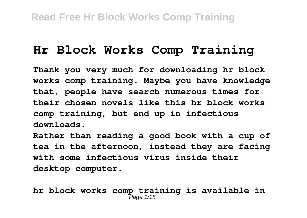# **Hr Block Works Comp Training**

**Thank you very much for downloading hr block works comp training. Maybe you have knowledge that, people have search numerous times for their chosen novels like this hr block works comp training, but end up in infectious downloads.**

**Rather than reading a good book with a cup of tea in the afternoon, instead they are facing with some infectious virus inside their desktop computer.**

**hr block works comp training is available in** Page 1/15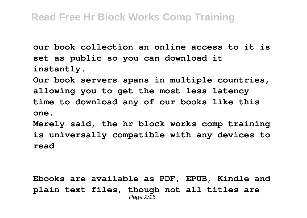**our book collection an online access to it is set as public so you can download it instantly.**

**Our book servers spans in multiple countries, allowing you to get the most less latency time to download any of our books like this one.**

**Merely said, the hr block works comp training is universally compatible with any devices to read**

**Ebooks are available as PDF, EPUB, Kindle and plain text files, though not all titles are** Page 2/15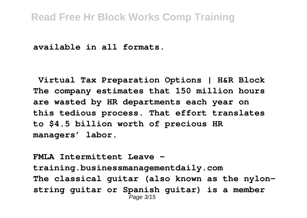**available in all formats.** 

**Virtual Tax Preparation Options | H&R Block The company estimates that 150 million hours are wasted by HR departments each year on this tedious process. That effort translates to \$4.5 billion worth of precious HR managers' labor.**

**FMLA Intermittent Leave training.businessmanagementdaily.com The classical guitar (also known as the nylonstring guitar or Spanish guitar) is a member** Page 3/15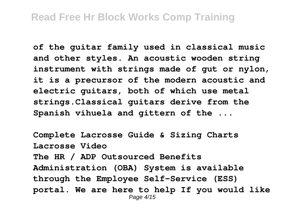**of the guitar family used in classical music and other styles. An acoustic wooden string instrument with strings made of gut or nylon, it is a precursor of the modern acoustic and electric guitars, both of which use metal strings.Classical guitars derive from the Spanish vihuela and gittern of the ...**

**Complete Lacrosse Guide & Sizing Charts Lacrosse Video The HR / ADP Outsourced Benefits Administration (OBA) System is available through the Employee Self-Service (ESS) portal. We are here to help If you would like** Page 4/15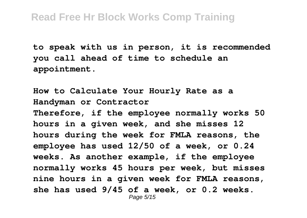**to speak with us in person, it is recommended you call ahead of time to schedule an appointment.**

**How to Calculate Your Hourly Rate as a Handyman or Contractor Therefore, if the employee normally works 50 hours in a given week, and she misses 12 hours during the week for FMLA reasons, the employee has used 12/50 of a week, or 0.24 weeks. As another example, if the employee normally works 45 hours per week, but misses nine hours in a given week for FMLA reasons, she has used 9/45 of a week, or 0.2 weeks.** Page 5/15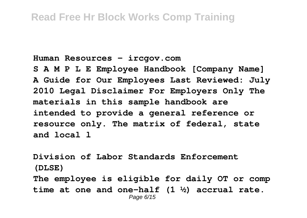**Human Resources - ircgov.com**

**S A M P L E Employee Handbook [Company Name] A Guide for Our Employees Last Reviewed: July 2010 Legal Disclaimer For Employers Only The materials in this sample handbook are intended to provide a general reference or resource only. The matrix of federal, state and local l**

**Division of Labor Standards Enforcement (DLSE) The employee is eligible for daily OT or comp time at one and one-half (1 ½) accrual rate.** Page 6/15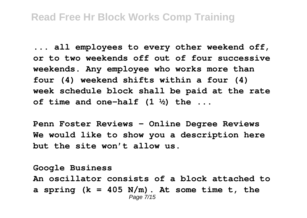**... all employees to every other weekend off, or to two weekends off out of four successive weekends. Any employee who works more than four (4) weekend shifts within a four (4) week schedule block shall be paid at the rate of time and one-half (1 ½) the ...**

**Penn Foster Reviews - Online Degree Reviews We would like to show you a description here but the site won't allow us.**

**Google Business An oscillator consists of a block attached to a spring (k = 405 N/m). At some time t, the** Page 7/15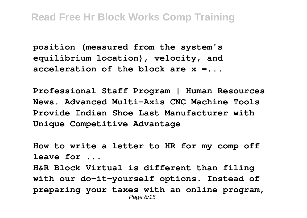**position (measured from the system's equilibrium location), velocity, and acceleration of the block are x =...**

**Professional Staff Program | Human Resources News. Advanced Multi-Axis CNC Machine Tools Provide Indian Shoe Last Manufacturer with Unique Competitive Advantage**

**How to write a letter to HR for my comp off leave for ... H&R Block Virtual is different than filing with our do-it-yourself options. Instead of preparing your taxes with an online program,** Page 8/15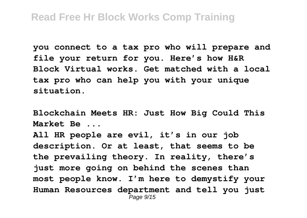**you connect to a tax pro who will prepare and file your return for you. Here's how H&R Block Virtual works. Get matched with a local tax pro who can help you with your unique situation.**

**Blockchain Meets HR: Just How Big Could This Market Be ...**

**All HR people are evil, it's in our job description. Or at least, that seems to be the prevailing theory. In reality, there's just more going on behind the scenes than most people know. I'm here to demystify your Human Resources department and tell you just** Page 9/15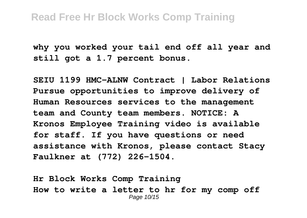**why you worked your tail end off all year and still got a 1.7 percent bonus.**

**SEIU 1199 HMC-ALNW Contract | Labor Relations Pursue opportunities to improve delivery of Human Resources services to the management team and County team members. NOTICE: A Kronos Employee Training video is available for staff. If you have questions or need assistance with Kronos, please contact Stacy Faulkner at (772) 226-1504.**

**Hr Block Works Comp Training How to write a letter to hr for my comp off** Page 10/15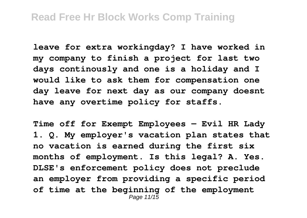**leave for extra workingday? I have worked in my company to finish a project for last two days continously and one is a holiday and I would like to ask them for compensation one day leave for next day as our company doesnt have any overtime policy for staffs.**

**Time off for Exempt Employees — Evil HR Lady 1. Q. My employer's vacation plan states that no vacation is earned during the first six months of employment. Is this legal? A. Yes. DLSE's enforcement policy does not preclude an employer from providing a specific period of time at the beginning of the employment** Page 11/15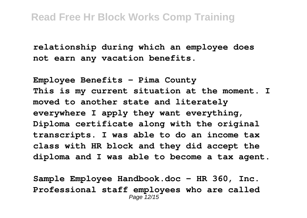**relationship during which an employee does not earn any vacation benefits.**

**Employee Benefits - Pima County This is my current situation at the moment. I moved to another state and literately everywhere I apply they want everything, Diploma certificate along with the original transcripts. I was able to do an income tax class with HR block and they did accept the diploma and I was able to become a tax agent.**

**Sample Employee Handbook.doc - HR 360, Inc. Professional staff employees who are called** Page 12/15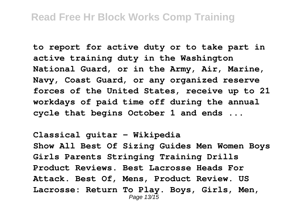**to report for active duty or to take part in active training duty in the Washington National Guard, or in the Army, Air, Marine, Navy, Coast Guard, or any organized reserve forces of the United States, receive up to 21 workdays of paid time off during the annual cycle that begins October 1 and ends ...**

**Classical guitar - Wikipedia Show All Best Of Sizing Guides Men Women Boys Girls Parents Stringing Training Drills Product Reviews. Best Lacrosse Heads For Attack. Best Of, Mens, Product Review. US Lacrosse: Return To Play. Boys, Girls, Men,** Page 13/15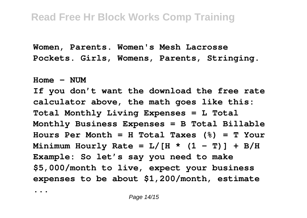**Women, Parents. Women's Mesh Lacrosse Pockets. Girls, Womens, Parents, Stringing.**

 $H_{\text{OM}} = \text{NIIM}$ **If you don't want the download the free rate calculator above, the math goes like this: Total Monthly Living Expenses = L Total Monthly Business Expenses = B Total Billable Hours Per Month = H Total Taxes (%) = T Your** Minimum Hourly Rate =  $L/$ [H \* (1 - T)] + B/H **Example: So let's say you need to make \$5,000/month to live, expect your business expenses to be about \$1,200/month, estimate**

**...**